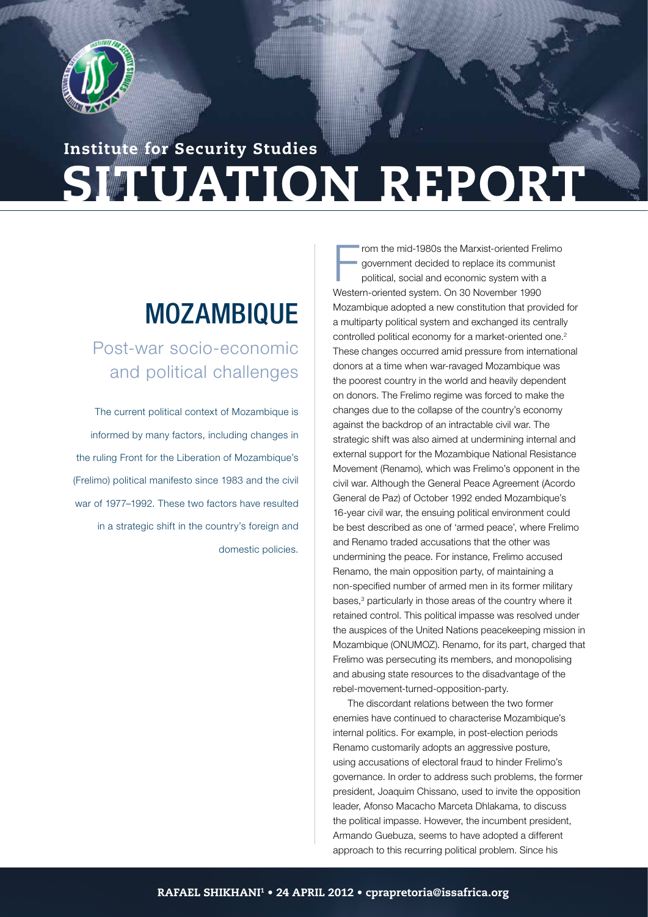

# SITUATION REPORT Institute for Security Studies

## **MOZAMBIQUE**

Post-war socio-economic and political challenges

The current political context of Mozambique is informed by many factors, including changes in the ruling Front for the Liberation of Mozambique's (Frelimo) political manifesto since 1983 and the civil war of 1977–1992. These two factors have resulted in a strategic shift in the country's foreign and domestic policies.

F rom the mid-1980s the Marxist-oriented Frelimo government decided to replace its communist political, social and economic system with a Western-oriented system. On 30 November 1990 Mozambique adopted a new constitution that provided for a multiparty political system and exchanged its centrally controlled political economy for a market-oriented one.<sup>2</sup> These changes occurred amid pressure from international donors at a time when war-ravaged Mozambique was the poorest country in the world and heavily dependent on donors. The Frelimo regime was forced to make the changes due to the collapse of the country's economy against the backdrop of an intractable civil war. The strategic shift was also aimed at undermining internal and external support for the Mozambique National Resistance Movement (Renamo), which was Frelimo's opponent in the civil war. Although the General Peace Agreement (Acordo General de Paz) of October 1992 ended Mozambique's 16-year civil war, the ensuing political environment could be best described as one of 'armed peace', where Frelimo and Renamo traded accusations that the other was undermining the peace. For instance, Frelimo accused Renamo, the main opposition party, of maintaining a non-specified number of armed men in its former military bases,<sup>3</sup> particularly in those areas of the country where it retained control. This political impasse was resolved under the auspices of the United Nations peacekeeping mission in Mozambique (ONUMOZ). Renamo, for its part, charged that Frelimo was persecuting its members, and monopolising and abusing state resources to the disadvantage of the rebel-movement-turned-opposition-party.

S I T U A T U A T I ON THE REAL PROPERTY AND A THE REAL PROPERTY AND A THE REAL PROPERTY AND A THE REAL PROPERTY OF THE REAL PROPERTY AND A THE REAL PROPERTY OF THE REAL PROPERTY OF THE REAL PROPERTY OF THE REAL PROPERTY O

The discordant relations between the two former enemies have continued to characterise Mozambique's internal politics. For example, in post-election periods Renamo customarily adopts an aggressive posture, using accusations of electoral fraud to hinder Frelimo's governance. In order to address such problems, the former president, Joaquim Chissano, used to invite the opposition leader, Afonso Macacho Marceta Dhlakama, to discuss the political impasse. However, the incumbent president, Armando Guebuza, seems to have adopted a different approach to this recurring political problem. Since his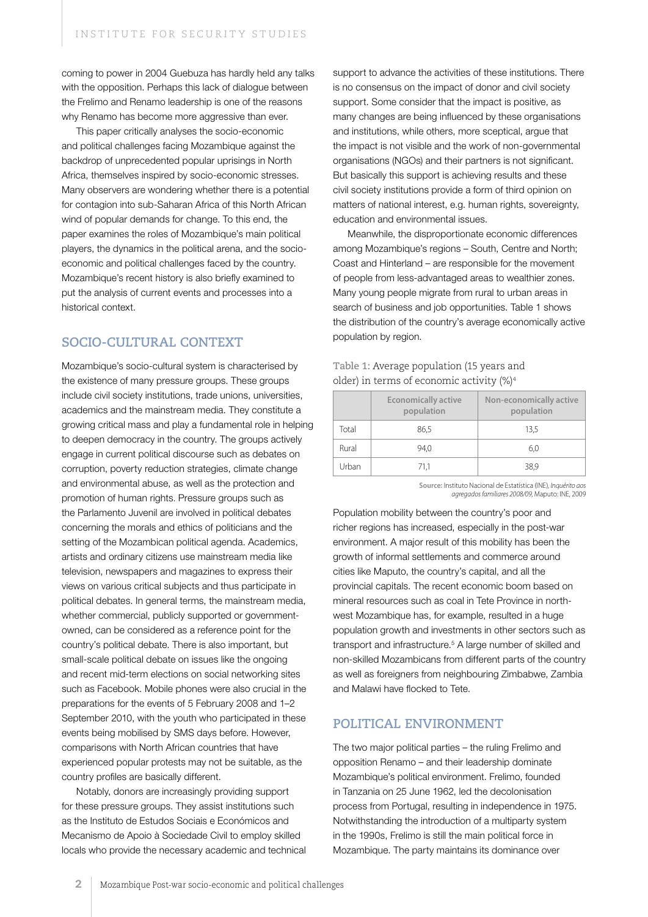coming to power in 2004 Guebuza has hardly held any talks with the opposition. Perhaps this lack of dialogue between the Frelimo and Renamo leadership is one of the reasons why Renamo has become more aggressive than ever.

This paper critically analyses the socio-economic and political challenges facing Mozambique against the backdrop of unprecedented popular uprisings in North Africa, themselves inspired by socio-economic stresses. Many observers are wondering whether there is a potential for contagion into sub-Saharan Africa of this North African wind of popular demands for change. To this end, the paper examines the roles of Mozambique's main political players, the dynamics in the political arena, and the socioeconomic and political challenges faced by the country. Mozambique's recent history is also briefly examined to put the analysis of current events and processes into a historical context.

## **SOCIO-CULTURAL CONTEXT**

Mozambique's socio-cultural system is characterised by the existence of many pressure groups. These groups include civil society institutions, trade unions, universities, academics and the mainstream media. They constitute a growing critical mass and play a fundamental role in helping to deepen democracy in the country. The groups actively engage in current political discourse such as debates on corruption, poverty reduction strategies, climate change and environmental abuse, as well as the protection and promotion of human rights. Pressure groups such as the Parlamento Juvenil are involved in political debates concerning the morals and ethics of politicians and the setting of the Mozambican political agenda. Academics, artists and ordinary citizens use mainstream media like television, newspapers and magazines to express their views on various critical subjects and thus participate in political debates. In general terms, the mainstream media, whether commercial, publicly supported or governmentowned, can be considered as a reference point for the country's political debate. There is also important, but small-scale political debate on issues like the ongoing and recent mid-term elections on social networking sites such as Facebook. Mobile phones were also crucial in the preparations for the events of 5 February 2008 and 1–2 September 2010, with the youth who participated in these events being mobilised by SMS days before. However, comparisons with North African countries that have experienced popular protests may not be suitable, as the country profiles are basically different.

Notably, donors are increasingly providing support for these pressure groups. They assist institutions such as the Instituto de Estudos Sociais e Económicos and Mecanismo de Apoio à Sociedade Civil to employ skilled locals who provide the necessary academic and technical support to advance the activities of these institutions. There is no consensus on the impact of donor and civil society support. Some consider that the impact is positive, as many changes are being influenced by these organisations and institutions, while others, more sceptical, argue that the impact is not visible and the work of non-governmental organisations (NGOs) and their partners is not significant. But basically this support is achieving results and these civil society institutions provide a form of third opinion on matters of national interest, e.g. human rights, sovereignty, education and environmental issues.

Meanwhile, the disproportionate economic differences among Mozambique's regions – South, Centre and North; Coast and Hinterland – are responsible for the movement of people from less-advantaged areas to wealthier zones. Many young people migrate from rural to urban areas in search of business and job opportunities. Table 1 shows the distribution of the country's average economically active population by region.

#### **Table 1:** Average population (15 years and older) in terms of economic activity (%)4

|       | <b>Economically active</b><br>population | Non-economically active<br>population |
|-------|------------------------------------------|---------------------------------------|
| Total | 86,5                                     | 13.5                                  |
| Rural | 94.0                                     | 6,0                                   |
| Urban | 71.1                                     | 38,9                                  |

**Source:** Instituto Nacional de Estatística (INE), *Inquérito aos agregados familiares 2008/09*, Maputo: INE, 2009

Population mobility between the country's poor and richer regions has increased, especially in the post-war environment. A major result of this mobility has been the growth of informal settlements and commerce around cities like Maputo, the country's capital, and all the provincial capitals. The recent economic boom based on mineral resources such as coal in Tete Province in northwest Mozambique has, for example, resulted in a huge population growth and investments in other sectors such as transport and infrastructure.5 A large number of skilled and non-skilled Mozambicans from different parts of the country as well as foreigners from neighbouring Zimbabwe, Zambia and Malawi have flocked to Tete.

#### **POLITICAL ENVIRONMENT**

The two major political parties – the ruling Frelimo and opposition Renamo – and their leadership dominate Mozambique's political environment. Frelimo, founded in Tanzania on 25 June 1962, led the decolonisation process from Portugal, resulting in independence in 1975. Notwithstanding the introduction of a multiparty system in the 1990s, Frelimo is still the main political force in Mozambique. The party maintains its dominance over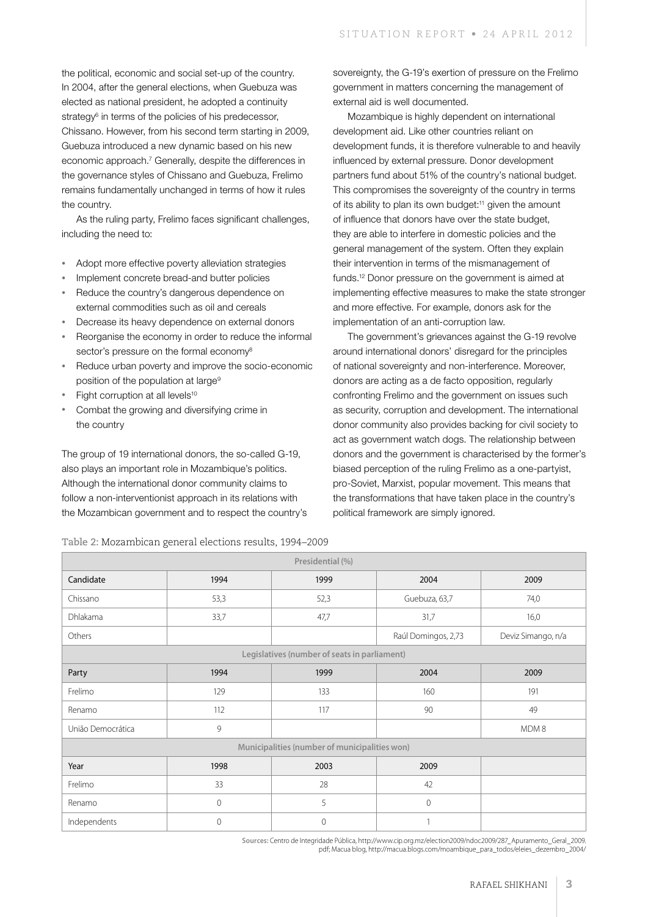the political, economic and social set-up of the country. In 2004, after the general elections, when Guebuza was elected as national president, he adopted a continuity strategy<sup>6</sup> in terms of the policies of his predecessor, Chissano. However, from his second term starting in 2009, Guebuza introduced a new dynamic based on his new economic approach.<sup>7</sup> Generally, despite the differences in the governance styles of Chissano and Guebuza, Frelimo remains fundamentally unchanged in terms of how it rules the country.

As the ruling party, Frelimo faces significant challenges, including the need to:

- Adopt more effective poverty alleviation strategies
- Implement concrete bread-and butter policies
- Reduce the country's dangerous dependence on external commodities such as oil and cereals
- Decrease its heavy dependence on external donors
- Reorganise the economy in order to reduce the informal sector's pressure on the formal economy<sup>8</sup>
- Reduce urban poverty and improve the socio-economic position of the population at large<sup>9</sup>
- Fight corruption at all levels<sup>10</sup>
- Combat the growing and diversifying crime in the country

The group of 19 international donors, the so-called G-19, also plays an important role in Mozambique's politics. Although the international donor community claims to follow a non-interventionist approach in its relations with the Mozambican government and to respect the country's

sovereignty, the G-19's exertion of pressure on the Frelimo government in matters concerning the management of external aid is well documented.

Mozambique is highly dependent on international development aid. Like other countries reliant on development funds, it is therefore vulnerable to and heavily influenced by external pressure. Donor development partners fund about 51% of the country's national budget. This compromises the sovereignty of the country in terms of its ability to plan its own budget:11 given the amount of influence that donors have over the state budget, they are able to interfere in domestic policies and the general management of the system. Often they explain their intervention in terms of the mismanagement of funds.12 Donor pressure on the government is aimed at implementing effective measures to make the state stronger and more effective. For example, donors ask for the implementation of an anti-corruption law.

The government's grievances against the G-19 revolve around international donors' disregard for the principles of national sovereignty and non-interference. Moreover, donors are acting as a de facto opposition, regularly confronting Frelimo and the government on issues such as security, corruption and development. The international donor community also provides backing for civil society to act as government watch dogs. The relationship between donors and the government is characterised by the former's biased perception of the ruling Frelimo as a one-partyist, pro-Soviet, Marxist, popular movement. This means that the transformations that have taken place in the country's political framework are simply ignored.

| Presidential (%)  |              |                                               |                                           |      |  |  |
|-------------------|--------------|-----------------------------------------------|-------------------------------------------|------|--|--|
| Candidate         | 1994         | 1999                                          | 2004                                      | 2009 |  |  |
| Chissano          | 53,3         | 52,3                                          | Guebuza, 63,7                             | 74,0 |  |  |
| Dhlakama          | 33,7         | 47,7                                          | 31,7                                      | 16,0 |  |  |
| Others            |              |                                               | Raúl Domingos, 2,73<br>Deviz Simango, n/a |      |  |  |
|                   |              | Legislatives (number of seats in parliament)  |                                           |      |  |  |
| Party             | 1994         | 1999                                          | 2004                                      | 2009 |  |  |
| Frelimo           | 129          | 133                                           | 160                                       | 191  |  |  |
| Renamo            | 112          | 117                                           | 90                                        | 49   |  |  |
| União Democrática | 9            |                                               | MDM8                                      |      |  |  |
|                   |              | Municipalities (number of municipalities won) |                                           |      |  |  |
| Year              | 1998         | 2003                                          | 2009                                      |      |  |  |
| Frelimo           | 33           | 28                                            | 42                                        |      |  |  |
| Renamo            | $\mathbf{0}$ | 5                                             | $\mathbf{0}$                              |      |  |  |
| Independents      | $\mathbf{0}$ | 0                                             |                                           |      |  |  |

**Sources:** Centro de Integridade Pública, http://www.cip.org.mz/election2009/ndoc2009/287\_Apuramento\_Geral\_2009. pdf; Macua blog, http://macua.blogs.com/moambique\_para\_todos/eleies\_dezembro\_2004/

**Table 2:** Mozambican general elections results, 1994–2009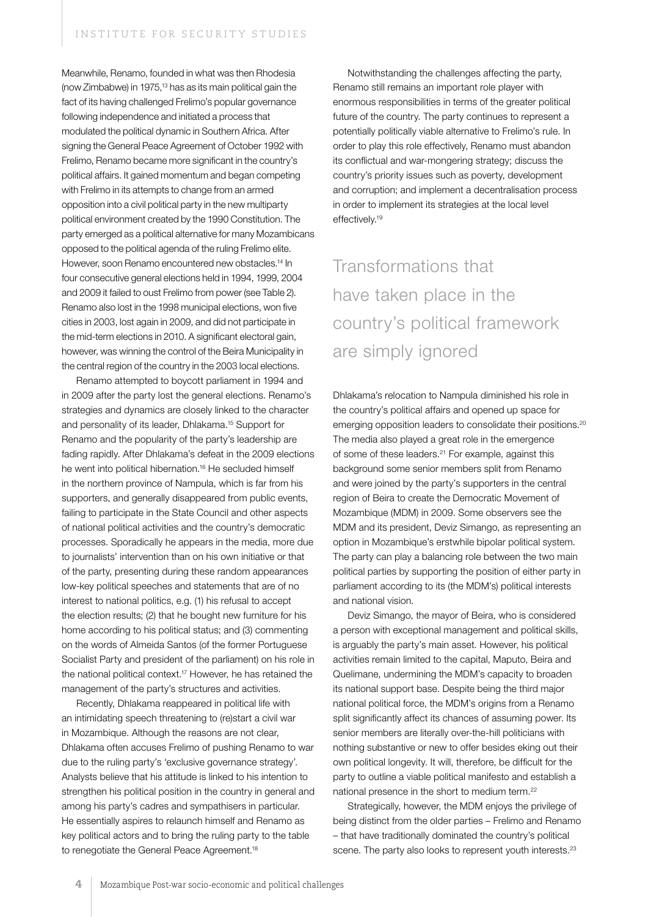Meanwhile, Renamo, founded in what was then Rhodesia (now Zimbabwe) in 1975,13 has as its main political gain the fact of its having challenged Frelimo's popular governance following independence and initiated a process that modulated the political dynamic in Southern Africa. After signing the General Peace Agreement of October 1992 with Frelimo, Renamo became more significant in the country's political affairs. It gained momentum and began competing with Frelimo in its attempts to change from an armed opposition into a civil political party in the new multiparty political environment created by the 1990 Constitution. The party emerged as a political alternative for many Mozambicans opposed to the political agenda of the ruling Frelimo elite. However, soon Renamo encountered new obstacles.14 In four consecutive general elections held in 1994, 1999, 2004 and 2009 it failed to oust Frelimo from power (see Table 2). Renamo also lost in the 1998 municipal elections, won five cities in 2003, lost again in 2009, and did not participate in the mid-term elections in 2010. A significant electoral gain, however, was winning the control of the Beira Municipality in the central region of the country in the 2003 local elections.

Renamo attempted to boycott parliament in 1994 and in 2009 after the party lost the general elections. Renamo's strategies and dynamics are closely linked to the character and personality of its leader, Dhlakama.15 Support for Renamo and the popularity of the party's leadership are fading rapidly. After Dhlakama's defeat in the 2009 elections he went into political hibernation.<sup>16</sup> He secluded himself in the northern province of Nampula, which is far from his supporters, and generally disappeared from public events, failing to participate in the State Council and other aspects of national political activities and the country's democratic processes. Sporadically he appears in the media, more due to journalists' intervention than on his own initiative or that of the party, presenting during these random appearances low-key political speeches and statements that are of no interest to national politics, e.g. (1) his refusal to accept the election results; (2) that he bought new furniture for his home according to his political status; and (3) commenting on the words of Almeida Santos (of the former Portuguese Socialist Party and president of the parliament) on his role in the national political context.17 However, he has retained the management of the party's structures and activities.

Recently, Dhlakama reappeared in political life with an intimidating speech threatening to (re)start a civil war in Mozambique. Although the reasons are not clear, Dhlakama often accuses Frelimo of pushing Renamo to war due to the ruling party's 'exclusive governance strategy'. Analysts believe that his attitude is linked to his intention to strengthen his political position in the country in general and among his party's cadres and sympathisers in particular. He essentially aspires to relaunch himself and Renamo as key political actors and to bring the ruling party to the table to renegotiate the General Peace Agreement.<sup>18</sup>

Notwithstanding the challenges affecting the party, Renamo still remains an important role player with enormous responsibilities in terms of the greater political future of the country. The party continues to represent a potentially politically viable alternative to Frelimo's rule. In order to play this role effectively, Renamo must abandon its conflictual and war-mongering strategy; discuss the country's priority issues such as poverty, development and corruption; and implement a decentralisation process in order to implement its strategies at the local level effectively.<sup>19</sup>

## Transformations that have taken place in the country's political framework are simply ignored

Dhlakama's relocation to Nampula diminished his role in the country's political affairs and opened up space for emerging opposition leaders to consolidate their positions.<sup>20</sup> The media also played a great role in the emergence of some of these leaders.21 For example, against this background some senior members split from Renamo and were joined by the party's supporters in the central region of Beira to create the Democratic Movement of Mozambique (MDM) in 2009. Some observers see the MDM and its president, Deviz Simango, as representing an option in Mozambique's erstwhile bipolar political system. The party can play a balancing role between the two main political parties by supporting the position of either party in parliament according to its (the MDM's) political interests and national vision.

Deviz Simango, the mayor of Beira, who is considered a person with exceptional management and political skills, is arguably the party's main asset. However, his political activities remain limited to the capital, Maputo, Beira and Quelimane, undermining the MDM's capacity to broaden its national support base. Despite being the third major national political force, the MDM's origins from a Renamo split significantly affect its chances of assuming power. Its senior members are literally over-the-hill politicians with nothing substantive or new to offer besides eking out their own political longevity. It will, therefore, be difficult for the party to outline a viable political manifesto and establish a national presence in the short to medium term.22

Strategically, however, the MDM enjoys the privilege of being distinct from the older parties – Frelimo and Renamo – that have traditionally dominated the country's political scene. The party also looks to represent youth interests.<sup>23</sup>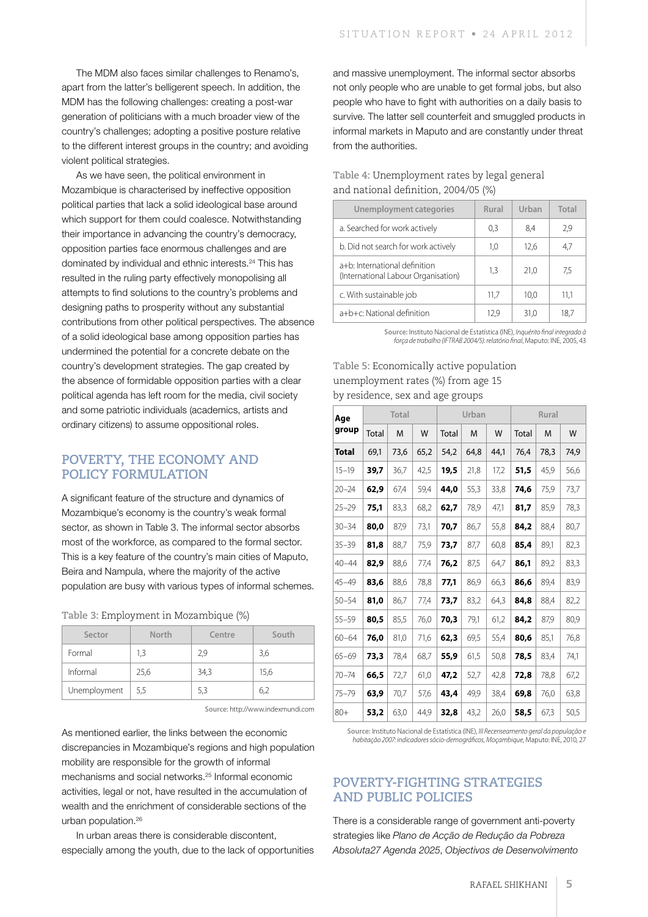The MDM also faces similar challenges to Renamo's, apart from the latter's belligerent speech. In addition, the MDM has the following challenges: creating a post-war generation of politicians with a much broader view of the country's challenges; adopting a positive posture relative to the different interest groups in the country; and avoiding violent political strategies.

As we have seen, the political environment in Mozambique is characterised by ineffective opposition political parties that lack a solid ideological base around which support for them could coalesce. Notwithstanding their importance in advancing the country's democracy, opposition parties face enormous challenges and are dominated by individual and ethnic interests.24 This has resulted in the ruling party effectively monopolising all attempts to find solutions to the country's problems and designing paths to prosperity without any substantial contributions from other political perspectives. The absence of a solid ideological base among opposition parties has undermined the potential for a concrete debate on the country's development strategies. The gap created by the absence of formidable opposition parties with a clear political agenda has left room for the media, civil society and some patriotic individuals (academics, artists and ordinary citizens) to assume oppositional roles.

### **POVERTY, THE ECONOMY AND POLICY FORMULATION**

A significant feature of the structure and dynamics of Mozambique's economy is the country's weak formal sector, as shown in Table 3. The informal sector absorbs most of the workforce, as compared to the formal sector. This is a key feature of the country's main cities of Maputo, Beira and Nampula, where the majority of the active population are busy with various types of informal schemes.

|  |  |  | Table 3: Employment in Mozambique (%) |  |  |  |
|--|--|--|---------------------------------------|--|--|--|
|--|--|--|---------------------------------------|--|--|--|

| Sector       | North | Centre | South |
|--------------|-------|--------|-------|
| Formal       | 1,3   | 2,9    | 3,6   |
| Informal     | 25,6  | 34,3   | 15,6  |
| Unemployment | 5,5   | 5,3    | 6,2   |

**Source:** http://www.indexmundi.com

As mentioned earlier, the links between the economic discrepancies in Mozambique's regions and high population mobility are responsible for the growth of informal mechanisms and social networks.25 Informal economic activities, legal or not, have resulted in the accumulation of wealth and the enrichment of considerable sections of the urban population.26

In urban areas there is considerable discontent, especially among the youth, due to the lack of opportunities and massive unemployment. The informal sector absorbs not only people who are unable to get formal jobs, but also people who have to fight with authorities on a daily basis to survive. The latter sell counterfeit and smuggled products in informal markets in Maputo and are constantly under threat from the authorities.

#### **Table 4:** Unemployment rates by legal general and national definition, 2004/05 (%)

| Unemployment categories                                              | Rural | Urban | Total |
|----------------------------------------------------------------------|-------|-------|-------|
| a. Searched for work actively                                        | 0,3   | 8,4   | 2,9   |
| b. Did not search for work actively                                  | 1.0   | 12.6  | 4,7   |
| a+b: International definition<br>(International Labour Organisation) | 1,3   | 21,0  | 7,5   |
| c. With sustainable job                                              | 11,7  | 10.0  | 11,1  |
| a+b+c: National definition                                           | 12.9  | 31.0  | 18.7  |

**Source:** Instituto Nacional de Estatística (INE), *Inquérito final integrado à força de trabalho (IFTRAB 2004/5): relatório final*, Maputo: INE, 2005, 43

#### **Table 5:** Economically active population unemployment rates (%) from age 15 by residence, sex and age groups

| Aqe       | Total |      | Urban |       | Rural |      |       |      |      |
|-----------|-------|------|-------|-------|-------|------|-------|------|------|
| group     | Total | M    | W     | Total | M     | W    | Total | M    | W    |
| Total     | 69,1  | 73,6 | 65,2  | 54,2  | 64,8  | 44,1 | 76,4  | 78,3 | 74,9 |
| $15 - 19$ | 39,7  | 36,7 | 42,5  | 19,5  | 21,8  | 17,2 | 51,5  | 45,9 | 56,6 |
| $20 - 24$ | 62,9  | 67,4 | 59,4  | 44,0  | 55,3  | 33,8 | 74,6  | 75,9 | 73,7 |
| $25 - 29$ | 75,1  | 83,3 | 68,2  | 62,7  | 78,9  | 47.1 | 81,7  | 85,9 | 78,3 |
| $30 - 34$ | 80,0  | 87,9 | 73,1  | 70,7  | 86,7  | 55,8 | 84,2  | 88,4 | 80,7 |
| $35 - 39$ | 81,8  | 88,7 | 75,9  | 73,7  | 87,7  | 60,8 | 85,4  | 89,1 | 82,3 |
| $40 - 44$ | 82,9  | 88,6 | 77,4  | 76,2  | 87,5  | 64,7 | 86,1  | 89,2 | 83,3 |
| $45 - 49$ | 83,6  | 88,6 | 78,8  | 77,1  | 86,9  | 66,3 | 86,6  | 89,4 | 83,9 |
| $50 - 54$ | 81,0  | 86,7 | 77,4  | 73,7  | 83,2  | 64,3 | 84,8  | 88,4 | 82,2 |
| $55 - 59$ | 80,5  | 85,5 | 76,0  | 70,3  | 79,1  | 61,2 | 84,2  | 87,9 | 80,9 |
| $60 - 64$ | 76,0  | 81,0 | 71,6  | 62,3  | 69,5  | 55,4 | 80,6  | 85,1 | 76,8 |
| $65 - 69$ | 73,3  | 78,4 | 68,7  | 55,9  | 61,5  | 50,8 | 78,5  | 83,4 | 74,1 |
| $70 - 74$ | 66,5  | 72,7 | 61,0  | 47,2  | 52,7  | 42,8 | 72,8  | 78,8 | 67,2 |
| 75–79     | 63,9  | 70,7 | 57,6  | 43,4  | 49,9  | 38,4 | 69,8  | 76,0 | 63,8 |
| $80+$     | 53,2  | 63,0 | 44,9  | 32,8  | 43,2  | 26,0 | 58,5  | 67,3 | 50,5 |

**Source:** Instituto Nacional de Estatística (INE), *III Recenseamento geral da população e habitação 2007: indicadores sócio-demográficos, Moçambique*, Maputo: INE, 2010, 27

### **POVERTY-FIGHTING STRATEGIES AND PUBLIC POLICIES**

There is a considerable range of government anti-poverty strategies like *Plano de Acção de Redução da Pobreza Absoluta27 Agenda 2025*, *Objectivos de Desenvolvimento*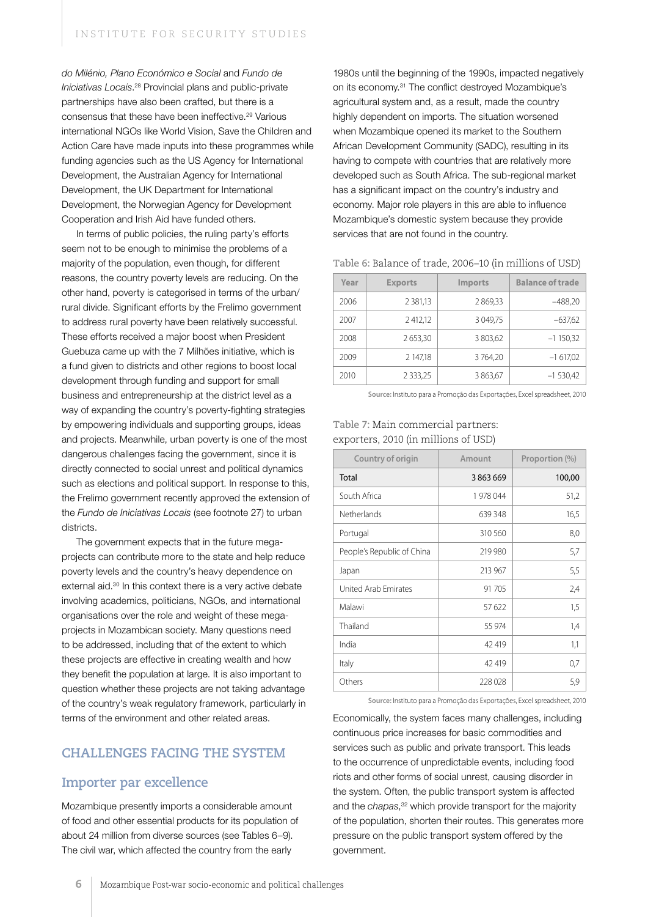*do Milénio, Plano Económico e Social* and *Fundo de Iniciativas Locais*. 28 Provincial plans and public-private partnerships have also been crafted, but there is a consensus that these have been ineffective.29 Various international NGOs like World Vision, Save the Children and Action Care have made inputs into these programmes while funding agencies such as the US Agency for International Development, the Australian Agency for International Development, the UK Department for International Development, the Norwegian Agency for Development Cooperation and Irish Aid have funded others.

In terms of public policies, the ruling party's efforts seem not to be enough to minimise the problems of a majority of the population, even though, for different reasons, the country poverty levels are reducing. On the other hand, poverty is categorised in terms of the urban/ rural divide. Significant efforts by the Frelimo government to address rural poverty have been relatively successful. These efforts received a major boost when President Guebuza came up with the 7 Milhões initiative, which is a fund given to districts and other regions to boost local development through funding and support for small business and entrepreneurship at the district level as a way of expanding the country's poverty-fighting strategies by empowering individuals and supporting groups, ideas and projects. Meanwhile, urban poverty is one of the most dangerous challenges facing the government, since it is directly connected to social unrest and political dynamics such as elections and political support. In response to this, the Frelimo government recently approved the extension of the *Fundo de Iniciativas Locais* (see footnote 27) to urban districts.

The government expects that in the future megaprojects can contribute more to the state and help reduce poverty levels and the country's heavy dependence on external aid.<sup>30</sup> In this context there is a very active debate involving academics, politicians, NGOs, and international organisations over the role and weight of these megaprojects in Mozambican society. Many questions need to be addressed, including that of the extent to which these projects are effective in creating wealth and how they benefit the population at large. It is also important to question whether these projects are not taking advantage of the country's weak regulatory framework, particularly in terms of the environment and other related areas.

### **CHALLENGES FACING THE SYSTEM**

#### **Importer par excellence**

Mozambique presently imports a considerable amount of food and other essential products for its population of about 24 million from diverse sources (see Tables 6–9). The civil war, which affected the country from the early

1980s until the beginning of the 1990s, impacted negatively on its economy.31 The conflict destroyed Mozambique's agricultural system and, as a result, made the country highly dependent on imports. The situation worsened when Mozambique opened its market to the Southern African Development Community (SADC), resulting in its having to compete with countries that are relatively more developed such as South Africa. The sub-regional market has a significant impact on the country's industry and economy. Major role players in this are able to influence Mozambique's domestic system because they provide services that are not found in the country.

| Table 6: Balance of trade, 2006-10 (in millions of USD) |  |
|---------------------------------------------------------|--|
|---------------------------------------------------------|--|

| Year | <b>Exports</b> | <b>Imports</b> | <b>Balance of trade</b> |
|------|----------------|----------------|-------------------------|
| 2006 | 2 3 8 1 , 1 3  | 2 869,33       | $-488,20$               |
| 2007 | 2412,12        | 3 0 4 9,75     | $-637,62$               |
| 2008 | 2 653,30       | 3 803,62       | $-1150,32$              |
| 2009 | 2 147,18       | 3764,20        | $-1617,02$              |
| 2010 | 2 3 3 3 , 2 5  | 3 863,67       | $-1$ 530,42             |

**Source:** Instituto para a Promoção das Exportações, Excel spreadsheet, 2010

#### **Table 7:** Main commercial partners: exporters, 2010 (in millions of USD)

| Country of origin          | Amount  | Proportion (%) |  |
|----------------------------|---------|----------------|--|
| Total                      | 3863669 | 100,00         |  |
| South Africa               | 1978044 | 51,2           |  |
| Netherlands                | 639 348 | 16,5           |  |
| Portugal                   | 310 560 | 8,0            |  |
| People's Republic of China | 219 980 | 5,7            |  |
| Japan                      | 213 967 | 5,5            |  |
| United Arab Emirates       | 91 705  | 2,4            |  |
| Malawi                     | 57 622  | 1,5            |  |
| Thailand                   | 55 974  | 1,4            |  |
| India                      | 42 419  | 1,1            |  |
| Italy                      | 42 419  | 0,7            |  |
| Others                     | 228 028 | 5,9            |  |

**Source:** Instituto para a Promoção das Exportações, Excel spreadsheet, 2010

Economically, the system faces many challenges, including continuous price increases for basic commodities and services such as public and private transport. This leads to the occurrence of unpredictable events, including food riots and other forms of social unrest, causing disorder in the system. Often, the public transport system is affected and the *chapas*, 32 which provide transport for the majority of the population, shorten their routes. This generates more pressure on the public transport system offered by the government.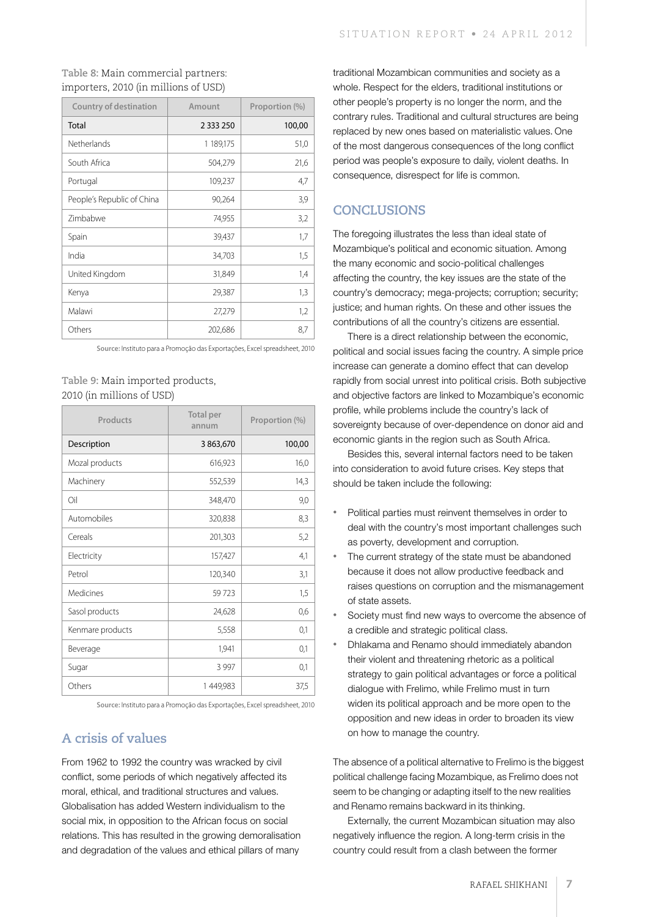#### **Table 8:** Main commercial partners: importers, 2010 (in millions of USD)

| <b>Country of destination</b> | Amount      | Proportion (%) |  |
|-------------------------------|-------------|----------------|--|
| Total                         | 2 3 3 2 5 0 | 100,00         |  |
| Netherlands                   | 1 189,175   | 51,0           |  |
| South Africa                  | 504,279     | 21,6           |  |
| Portugal                      | 109,237     | 4,7            |  |
| People's Republic of China    | 90,264      | 3,9            |  |
| <b>Zimbabwe</b>               | 74,955      | 3,2            |  |
| Spain                         | 39,437      | 1,7            |  |
| India                         | 34,703      | 1,5            |  |
| United Kingdom                | 31,849      | 1,4            |  |
| Kenya                         | 29,387      | 1,3            |  |
| Malawi                        | 27,279      | 1,2            |  |
| Others                        | 202,686     | 8,7            |  |

**Source:** Instituto para a Promoção das Exportações, Excel spreadsheet, 2010

#### **Table 9:** Main imported products, 2010 (in millions of USD)

| Products         | <b>Total per</b><br>annum | Proportion (%) |  |
|------------------|---------------------------|----------------|--|
| Description      | 3 863,670                 | 100,00         |  |
| Mozal products   | 616,923                   | 16,0           |  |
| Machinery        | 552,539                   | 14,3           |  |
| Oil              | 348,470                   | 9,0            |  |
| Automobiles      | 320,838                   | 8,3            |  |
| Cereals          | 201,303                   | 5,2            |  |
| Electricity      | 157,427                   | 4,1            |  |
| Petrol           | 120,340                   | 3,1            |  |
| Medicines        | 59723                     | 1,5            |  |
| Sasol products   | 24,628                    | 0,6            |  |
| Kenmare products | 5,558                     | 0,1            |  |
| Beverage         | 1,941                     | 0,1            |  |
| Sugar            | 3 9 9 7                   | 0,1            |  |
| Others           | 1449,983                  | 37,5           |  |

**Source:** Instituto para a Promoção das Exportações, Excel spreadsheet, 2010

## **A crisis of values**

From 1962 to 1992 the country was wracked by civil conflict, some periods of which negatively affected its moral, ethical, and traditional structures and values. Globalisation has added Western individualism to the social mix, in opposition to the African focus on social relations. This has resulted in the growing demoralisation and degradation of the values and ethical pillars of many

traditional Mozambican communities and society as a whole. Respect for the elders, traditional institutions or other people's property is no longer the norm, and the contrary rules. Traditional and cultural structures are being replaced by new ones based on materialistic values. One of the most dangerous consequences of the long conflict period was people's exposure to daily, violent deaths. In consequence, disrespect for life is common.

## **CONCLUSIONS**

The foregoing illustrates the less than ideal state of Mozambique's political and economic situation. Among the many economic and socio-political challenges affecting the country, the key issues are the state of the country's democracy; mega-projects; corruption; security; justice; and human rights. On these and other issues the contributions of all the country's citizens are essential.

There is a direct relationship between the economic, political and social issues facing the country. A simple price increase can generate a domino effect that can develop rapidly from social unrest into political crisis. Both subjective and objective factors are linked to Mozambique's economic profile, while problems include the country's lack of sovereignty because of over-dependence on donor aid and economic giants in the region such as South Africa.

Besides this, several internal factors need to be taken into consideration to avoid future crises. Key steps that should be taken include the following:

- Political parties must reinvent themselves in order to deal with the country's most important challenges such as poverty, development and corruption.
- The current strategy of the state must be abandoned because it does not allow productive feedback and raises questions on corruption and the mismanagement of state assets.
- Society must find new ways to overcome the absence of a credible and strategic political class.
- Dhlakama and Renamo should immediately abandon their violent and threatening rhetoric as a political strategy to gain political advantages or force a political dialogue with Frelimo, while Frelimo must in turn widen its political approach and be more open to the opposition and new ideas in order to broaden its view on how to manage the country.

The absence of a political alternative to Frelimo is the biggest political challenge facing Mozambique, as Frelimo does not seem to be changing or adapting itself to the new realities and Renamo remains backward in its thinking.

Externally, the current Mozambican situation may also negatively influence the region. A long-term crisis in the country could result from a clash between the former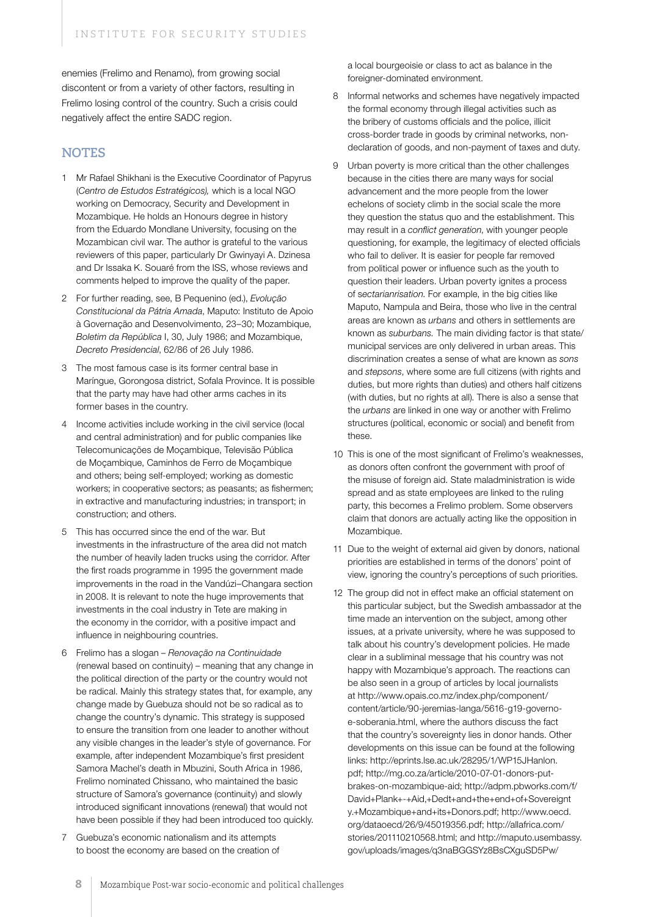enemies (Frelimo and Renamo), from growing social discontent or from a variety of other factors, resulting in Frelimo losing control of the country. Such a crisis could negatively affect the entire SADC region.

#### **Notes**

- 1 Mr Rafael Shikhani is the Executive Coordinator of Papyrus (*Centro de Estudos Estratégicos),* which is a local NGO working on Democracy, Security and Development in Mozambique. He holds an Honours degree in history from the Eduardo Mondlane University, focusing on the Mozambican civil war. The author is grateful to the various reviewers of this paper, particularly Dr Gwinyayi A. Dzinesa and Dr Issaka K. Souaré from the ISS, whose reviews and comments helped to improve the quality of the paper.
- 2 For further reading, see, B Pequenino (ed.), *Evolução Constitucional da Pátria Amada*, Maputo: Instituto de Apoio à Governação and Desenvolvimento, 23–30; Mozambique, *Boletim da República* I, 30, July 1986; and Mozambique, *Decreto Presidencial*, 62/86 of 26 July 1986.
- 3 The most famous case is its former central base in Maríngue, Gorongosa district, Sofala Province. It is possible that the party may have had other arms caches in its former bases in the country.
- 4 Income activities include working in the civil service (local and central administration) and for public companies like Telecomunicações de Moçambique, Televisão Pública de Moçambique, Caminhos de Ferro de Moçambique and others; being self-employed; working as domestic workers; in cooperative sectors; as peasants; as fishermen; in extractive and manufacturing industries; in transport; in construction; and others.
- 5 This has occurred since the end of the war. But investments in the infrastructure of the area did not match the number of heavily laden trucks using the corridor. After the first roads programme in 1995 the government made improvements in the road in the Vandúzi–Changara section in 2008. It is relevant to note the huge improvements that investments in the coal industry in Tete are making in the economy in the corridor, with a positive impact and influence in neighbouring countries.
- 6 Frelimo has a slogan *Renovação na Continuidade*  (renewal based on continuity) – meaning that any change in the political direction of the party or the country would not be radical. Mainly this strategy states that, for example, any change made by Guebuza should not be so radical as to change the country's dynamic. This strategy is supposed to ensure the transition from one leader to another without any visible changes in the leader's style of governance. For example, after independent Mozambique's first president Samora Machel's death in Mbuzini, South Africa in 1986, Frelimo nominated Chissano, who maintained the basic structure of Samora's governance (continuity) and slowly introduced significant innovations (renewal) that would not have been possible if they had been introduced too quickly.
- 7 Guebuza's economic nationalism and its attempts to boost the economy are based on the creation of

a local bourgeoisie or class to act as balance in the foreigner-dominated environment.

- 8 Informal networks and schemes have negatively impacted the formal economy through illegal activities such as the bribery of customs officials and the police, illicit cross-border trade in goods by criminal networks, nondeclaration of goods, and non-payment of taxes and duty.
- 9 Urban poverty is more critical than the other challenges because in the cities there are many ways for social advancement and the more people from the lower echelons of society climb in the social scale the more they question the status quo and the establishment. This may result in a *conflict generation*, with younger people questioning, for example, the legitimacy of elected officials who fail to deliver. It is easier for people far removed from political power or influence such as the youth to question their leaders. Urban poverty ignites a process of s*ectarianrisation*. For example, in the big cities like Maputo, Nampula and Beira, those who live in the central areas are known as *urbans* and others in settlements are known as *suburbans.* The main dividing factor is that state/ municipal services are only delivered in urban areas. This discrimination creates a sense of what are known as *sons* and *stepsons*, where some are full citizens (with rights and duties, but more rights than duties) and others half citizens (with duties, but no rights at all). There is also a sense that the *urbans* are linked in one way or another with Frelimo structures (political, economic or social) and benefit from these.
- 10 This is one of the most significant of Frelimo's weaknesses, as donors often confront the government with proof of the misuse of foreign aid. State maladministration is wide spread and as state employees are linked to the ruling party, this becomes a Frelimo problem. Some observers claim that donors are actually acting like the opposition in Mozambique.
- 11 Due to the weight of external aid given by donors, national priorities are established in terms of the donors' point of view, ignoring the country's perceptions of such priorities.
- 12 The group did not in effect make an official statement on this particular subject, but the Swedish ambassador at the time made an intervention on the subject, among other issues, at a private university, where he was supposed to talk about his country's development policies. He made clear in a subliminal message that his country was not happy with Mozambique's approach. The reactions can be also seen in a group of articles by local journalists at http://www.opais.co.mz/index.php/component/ content/article/90-jeremias-langa/5616-g19-governoe-soberania.html, where the authors discuss the fact that the country's sovereignty lies in donor hands. Other developments on this issue can be found at the following links: http://eprints.lse.ac.uk/28295/1/WP15JHanlon. pdf; http://mg.co.za/article/2010-07-01-donors-putbrakes-on-mozambique-aid; http://adpm.pbworks.com/f/ David+Plank+-+Aid,+Dedt+and+the+end+of+Sovereignt y.+Mozambique+and+its+Donors.pdf; http://www.oecd. org/dataoecd/26/9/45019356.pdf; http://allafrica.com/ stories/201110210568.html; and http://maputo.usembassy. gov/uploads/images/q3naBGGSYz8BsCXguSD5Pw/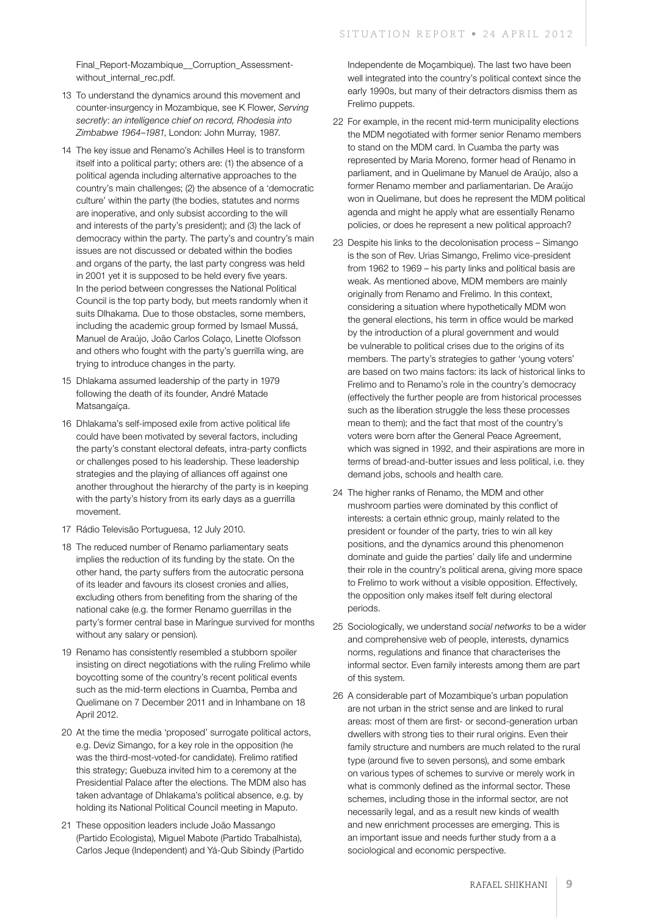Final\_Report-Mozambique\_\_Corruption\_Assessmentwithout\_internal\_rec.pdf.

- 13 To understand the dynamics around this movement and counter-insurgency in Mozambique, see K Flower, *Serving secretly*: *an intelligence chief on record, Rhodesia into Zimbabwe 1964–1981*, London: John Murray, 1987.
- 14 The key issue and Renamo's Achilles Heel is to transform itself into a political party; others are: (1) the absence of a political agenda including alternative approaches to the country's main challenges; (2) the absence of a 'democratic culture' within the party (the bodies, statutes and norms are inoperative, and only subsist according to the will and interests of the party's president); and (3) the lack of democracy within the party. The party's and country's main issues are not discussed or debated within the bodies and organs of the party, the last party congress was held in 2001 yet it is supposed to be held every five years. In the period between congresses the National Political Council is the top party body, but meets randomly when it suits Dlhakama. Due to those obstacles, some members, including the academic group formed by Ismael Mussá, Manuel de Araújo, João Carlos Colaço, Linette Olofsson and others who fought with the party's guerrilla wing, are trying to introduce changes in the party.
- 15 Dhlakama assumed leadership of the party in 1979 following the death of its founder, André Matade Matsangaíça.
- 16 Dhlakama's self-imposed exile from active political life could have been motivated by several factors, including the party's constant electoral defeats, intra-party conflicts or challenges posed to his leadership. These leadership strategies and the playing of alliances off against one another throughout the hierarchy of the party is in keeping with the party's history from its early days as a querrilla movement.
- 17 Rádio Televisão Portuguesa, 12 July 2010.
- 18 The reduced number of Renamo parliamentary seats implies the reduction of its funding by the state. On the other hand, the party suffers from the autocratic persona of its leader and favours its closest cronies and allies, excluding others from benefiting from the sharing of the national cake (e.g. the former Renamo guerrillas in the party's former central base in Maríngue survived for months without any salary or pension).
- 19 Renamo has consistently resembled a stubborn spoiler insisting on direct negotiations with the ruling Frelimo while boycotting some of the country's recent political events such as the mid-term elections in Cuamba, Pemba and Quelimane on 7 December 2011 and in Inhambane on 18 April 2012.
- 20 At the time the media 'proposed' surrogate political actors, e.g. Deviz Simango, for a key role in the opposition (he was the third-most-voted-for candidate). Frelimo ratified this strategy; Guebuza invited him to a ceremony at the Presidential Palace after the elections. The MDM also has taken advantage of Dhlakama's political absence, e.g. by holding its National Political Council meeting in Maputo.
- 21 These opposition leaders include João Massango (Partido Ecologista), Miguel Mabote (Partido Trabalhista), Carlos Jeque (Independent) and Yá-Qub Sibindy (Partido

Independente de Moçambique). The last two have been well integrated into the country's political context since the early 1990s, but many of their detractors dismiss them as Frelimo puppets.

- 22 For example, in the recent mid-term municipality elections the MDM negotiated with former senior Renamo members to stand on the MDM card. In Cuamba the party was represented by Maria Moreno, former head of Renamo in parliament, and in Quelimane by Manuel de Araújo, also a former Renamo member and parliamentarian. De Araújo won in Quelimane, but does he represent the MDM political agenda and might he apply what are essentially Renamo policies, or does he represent a new political approach?
- 23 Despite his links to the decolonisation process Simango is the son of Rev. Urias Simango, Frelimo vice-president from 1962 to 1969 – his party links and political basis are weak. As mentioned above, MDM members are mainly originally from Renamo and Frelimo. In this context, considering a situation where hypothetically MDM won the general elections, his term in office would be marked by the introduction of a plural government and would be vulnerable to political crises due to the origins of its members. The party's strategies to gather 'young voters' are based on two mains factors: its lack of historical links to Frelimo and to Renamo's role in the country's democracy (effectively the further people are from historical processes such as the liberation struggle the less these processes mean to them); and the fact that most of the country's voters were born after the General Peace Agreement, which was signed in 1992, and their aspirations are more in terms of bread-and-butter issues and less political, i.e. they demand jobs, schools and health care.
- 24 The higher ranks of Renamo, the MDM and other mushroom parties were dominated by this conflict of interests: a certain ethnic group, mainly related to the president or founder of the party, tries to win all key positions, and the dynamics around this phenomenon dominate and guide the parties' daily life and undermine their role in the country's political arena, giving more space to Frelimo to work without a visible opposition. Effectively, the opposition only makes itself felt during electoral periods.
- 25 Sociologically, we understand *social networks* to be a wider and comprehensive web of people, interests, dynamics norms, regulations and finance that characterises the informal sector. Even family interests among them are part of this system.
- 26 A considerable part of Mozambique's urban population are not urban in the strict sense and are linked to rural areas: most of them are first- or second-generation urban dwellers with strong ties to their rural origins. Even their family structure and numbers are much related to the rural type (around five to seven persons), and some embark on various types of schemes to survive or merely work in what is commonly defined as the informal sector. These schemes, including those in the informal sector, are not necessarily legal, and as a result new kinds of wealth and new enrichment processes are emerging. This is an important issue and needs further study from a a sociological and economic perspective.